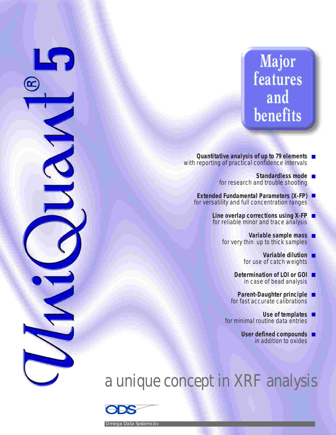# Major features and benefits

- **Quantitative analysis of up to 79 elements** with reporting of practical confidence intervals
	- **Standardless mode** for research and trouble shooting
	- **Extended Fundamental Parameters (X-FP)** for versatility and full concentration ranges
		- **Line overlap corrections using X-FP** п for reliable minor and trace analysis
			- **Variable sample mass** for very thin up to thick samples
				- **Variable dilution** for use of catch weights
				- **Determination of LOI or GOI** in case of bead analysis
				- **Parent-Daughter principle** for fast accurate calibrations
			- **Use of templates** for minimal routine data entries
				- **User defined compounds** in addition to oxides

# a unique concept in XRF analysis



S

Omega Data Systems bv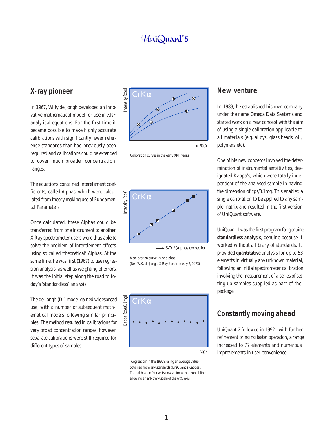#### **X-ray pioneer**

In 1967, Willy de Jongh developed an innovative mathematical model for use in XRF analytical equations. For the first time it became possible to make highly accurate calibrations with significantly fewer reference standards than had previously been required and calibrations could be extended to cover much broader concentration ranges.

The equations contained interelement coefficients, called Alphas, which were calculated from theory making use of Fundamental Parameters.

Once calculated, these Alphas could be transferred from one instrument to another. X-Ray spectrometer users were thus able to solve the problem of interelement effects using so called 'theoretical' Alphas. At the same time, he was first (1967) to use regression analysis, as well as weighting of errors. It was the initial step along the road to today's 'standardless' analysis.

The de Jongh (DJ) model gained widespread use, with a number of subsequent mathematical models following similar principles. The method resulted in calibrations for very broad concentration ranges, however separate calibrations were still required for different types of samples.



Calibration curves in the early XRF years.



→ %Cr / (Alphas correction)

A calibration curve using alphas. (Ref: W.K. de Jongh, X-Ray Spectrometry 2, 1973)



'Regression' in the 1990's using an average value obtained from any standards (UniQuant's Kappas). The calibration 'curve' is now a simple horizontal line allowing an arbitrary scale of the wt% axis.

#### **New venture**

In 1989, he established his own company under the name Omega Data Systems and started work on a new concept with the aim of using a single calibration applicable to all materials (e.g. alloys, glass beads, oil, polymers etc).

One of his new concepts involved the determination of instrumental sensitivities, designated Kappa's, which were totally independent of the analysed sample in having the dimension of cps/0.1mg. This enabled a single calibration to be applied to any sample matrix and resulted in the first version of UniQuant software.

UniQuant 1 was the first program for genuine **standardless analysis**, genuine because it worked without a library of standards. It provided **quantitative** analysis for up to 53 elements in virtually any unknown material, following an initial spectrometer calibration involving the measurement of a series of setting-up samples supplied as part of the package.

#### **Constantly moving ahead**

UniQuant 2 followed in 1992 - with further refinement bringing faster operation, a range increased to 77 elements and numerous improvements in user convenience.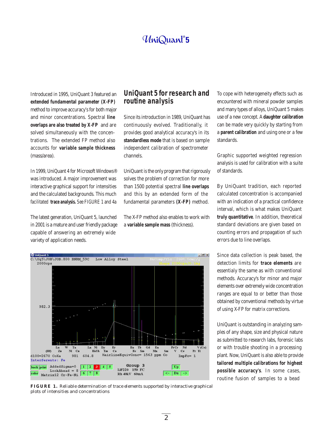Introduced in 1995, UniQuant 3 featured an **extended fundamental parameter (X-FP)** method to improve accuracy's for both major and minor concentrations. Spectral **line overlaps are also treated by X-FP** and are solved simultaneously with the concentrations. The extended FP method also accounts for **variable sample thickness** (mass/area).

In 1999, UniQuant 4 for Microsoft Windows® was introduced. A major improvement was interactive graphical support for intensities and the calculated backgrounds. This much facilitated **trace analysis.** See FIGURE 1 and 4a

The latest generation, UniQuant 5, launched in 2001 is a mature and user friendly package capable of answering an extremely wide variety of application needs.

#### **UniQuant 5 for research and routine analysis**

Since its introduction in 1989, UniQuant has continuously evolved. Traditionally, it provides good analytical accuracy's in its **standardless mode** that is based on sample independent calibration of spectrometer channels.

UniQuant is the only program that rigorously solves the problem of correction for more than 1500 potential spectral **line overlaps** and this by an extended form of the fundamental parameters **(X-FP)** method.

The X-FP method also enables to work with a **variable sample mass** (thickness).

To cope with heterogeneity effects such as encountered with mineral powder samples and many types of alloys, UniQuant 5 makes use of a new concept. A **daughter calibration** can be made very quickly by starting from a **parent calibration** and using one or a few standards.

Graphic supported weighted regression analysis is used for calibration with a suite of standards.

By UniQuant tradition, each reported calculated concentration is accompanied with an indication of a practical confidence interval, which is what makes UniQuant **truly quantitative**. In addition, theoretical standard deviations are given based on counting errors and propagation of such errors due to line overlaps.

Since data collection is peak based, the detection limits for **trace elements** are essentialy the same as with conventional methods. Accuracy's for minor and major elements over extremely wide concentration ranges are equal to or better than those obtained by conventional methods by virtue of using X-FP for matrix corrections.

UniQuant is outstanding in analyzing samples of any shape, size and physical nature as submitted to research labs, forensic labs or with trouble shooting in a processing plant. Now, UniQuant is also able to provide **tailored multiple calibrations for highest possible accuracy's**. In some cases, routine fusion of samples to a bead



*FIGURE 1. Reliable determination of trace elements supported by interactive graphical plots of intensities and concentrations*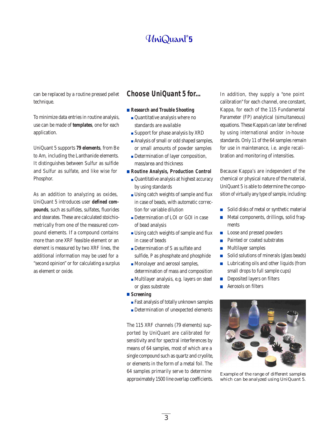can be replaced by a routine pressed pellet technique.

To minimize data entries in routine analysis, use can be made of **templates**, one for each application.

UniQuant 5 supports **79 elements**, from Be to Am, including the Lanthanide elements. It distinguishes between Sulfur as sulfide and Sulfur as sulfate, and like wise for Phosphor.

As an addition to analyzing as oxides, UniQuant 5 introduces user **defined compounds**, such as sulfides, sulfates, fluorides and stearates. These are calculated stoichiometrically from one of the measured compound elements. If a compound contains more than one XRF feasible element or an element is measured by two XRF lines, the additional information may be used for a "second opinion" or for calculating a surplus as element or oxide.

#### **Choose UniQuant 5 for...**

- **Research and Trouble Shooting**
	- Quantitative analysis where no standards are available
	- Support for phase analysis by XRD
	- Analysis of small or odd shaped samples, or small amounts of powder samples
	- Determination of layer composition, mass/area and thickness
- **Routine Analysis, Production Control** Quantitative analysis at highest accuracy by using standards
	- Using catch weights of sample and flux in case of beads, with automatic correction for variable dilution
	- Determination of LOI or GOI in case of bead analysis
	- Using catch weights of sample and flux in case of beads
	- Determination of S as sulfate and sulfide, P as phosphate and phosphide
	- **Monolayer and aerosol samples,** determination of mass and composition
	- Multilayer analysis, e.g. layers on steel or glass substrate
- **Screening**
	- Fast analysis of totally unknown samples
	- Determination of unexpected elements

The 115 XRF channels (79 elements) supported by UniQuant are calibrated for sensitivity and for spectral interferences by means of 64 samples, most of which are a single compound such as quartz and cryolite, or elements in the form of a metal foil. The 64 samples primarily serve to determine approximately 1500 line overlap coefficients.

In addition, they supply a "one point calibration" for each channel, one constant, Kappa, for each of the 115 Fundamental Parameter (FP) analytical (simultaneous) equations. These Kappa's can later be refined by using international and/or in-house standards. Only 11 of the 64 samples remain for use in maintenance, i.e. angle recalibration and monitoring of intensities.

Because Kappa's are independent of the chemical or physical nature of the material, UniQuant 5 is able to determine the composition of virtually any type of sample, including:

- Solid disks of metal or synthetic material
- Metal components, drillings, solid frag- $\mathcal{L}_{\mathcal{A}}$ ments
- Loose and pressed powders  $\overline{\phantom{a}}$
- Painted or coated substrates  $\mathcal{C}^{\mathcal{A}}$
- Multilayer samples  $\overline{\phantom{a}}$
- Solid solutions of minerals (glass beads)  $\mathcal{C}^{\mathcal{A}}$
- Lubricating oils and other liquids (from  $\Box$ small drops to full sample cups)
- Deposited layers on filters  $\Box$
- $\overline{\phantom{a}}$ Aerosols on filters



*Example of the range of different samples which can be analyzed using UniQuant 5.*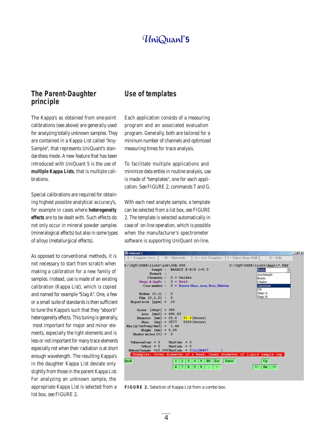#### **The Parent-Daughter principle**

The Kappa's as obtained from one-point calibrations (see above) are generally used for analyzing totally unknown samples. They are contained in a Kappa List called "Any-Sample", that represents UniQuant's standardless mode. A new feature that has been introduced with UniQuant 5 is the use of **multiple Kappa Lists**, that is multiple calibrations.

Special calibrations are required for obtaining highest possible analytical accuracy's, for example in cases where **heterogeneity effects** are to be dealt with. Such effects do not only occur in mineral powder samples (mineralogical effects) but also in some types of alloys (metallurgical effects).

As opposed to conventional methods, it is not necessary to start from scratch when making a calibration for a new family of samples. Instead, use is made of an existing calibration (Kappa List), which is copied and named for example "Slag A". One, a few or a small suite of standards is then sufficient to tune the Kappa's such that they "absorb" heterogeneity effects. This tuning is generally, most important for major and minor elements, especially the light elements and is less or not important for many trace elements especially not when their radiation is at short enough wavelength. The resulting Kappa's in the daughter Kappa List deviate only slightly from those in the parent Kappa List. For analyzing an unknown sample, the appropriate Kappa List is selected from a list box, see FIGURE 2.

#### **Use of templates**

Each application consists of a measuring program and an associated evaluation program. Generally, both are tailored for a mininum number of channels and optimized measuring times for trace analysis.

To facilitate multiple applications and minimize data enties in routine analysis, use is made of "templates", one for each application. See FIGURE 2, commands T and G.

With each next analyte sample, a template can be selected from a list box, see FIGURE 2. The template is selected automatically in case of on-line operation, which is possible when the manufacturer's spectrometer software is supporting UniQuant on-line.



*FIGURE 2. Selection of Kappa List from a combo box.*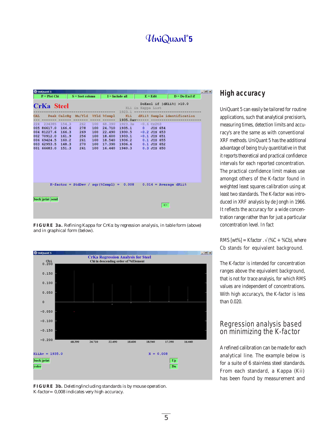# UniQuant®5

| <b><i>Q</i></b> UniOuant 5 |  |                   |     |                                                           |                                              |                   |    |                                      | $ B$ $x$ |
|----------------------------|--|-------------------|-----|-----------------------------------------------------------|----------------------------------------------|-------------------|----|--------------------------------------|----------|
| $P = Plot Chi$             |  | $S = Sort column$ |     |                                                           | $I = Include all$                            | $E =$ <b>Edit</b> |    | $D = Do$ Excl if                     |          |
| <b>CrKa Steel</b>          |  |                   |     |                                                           | Kii in Kappa List<br>$1923.1$ -------------- |                   |    | DoExcl if  dKii%  >10.0              |          |
|                            |  |                   |     | CAL Peak CalcBq Mu/Yld %Yld %Csmpl<br>------- ----- ----- | Kii<br>$1935.0$ av------ --                  |                   |    | dKii% Sample identification          |          |
| 224 234385 154.3           |  | 262               |     | 100 68.390                                                | $1923.3e -0.6 Cr203$                         |                   |    |                                      |          |
| 005 86617.0 166.6          |  | 278               | 100 | 24.710                                                    | $1935.1$ 0                                   | <b>JIS 654</b>    |    |                                      |          |
| 004 81227.6 166.3          |  | 269               | 100 | 22.490                                                    | $1930.5 -0.2$ JIS 653                        |                   |    |                                      |          |
| 002 70912.0 161.9          |  | 256               | 100 | 18.600                                                    | 1933.1 -0.1 JIS 651                          |                   |    |                                      |          |
| 006 69424.5 160.2 261      |  |                   | 100 | 18.540                                                    | 1936.2 0.1 JIS 655                           |                   |    |                                      |          |
| 003 62953.5 148.3 270      |  |                   |     | 100 17.390                                                | 1936.6 0.1 JIS 652                           |                   |    |                                      |          |
| 001 66683.0 151.3          |  | 241               | 100 | 16.440                                                    | 1940.3 0.3 JIS 650                           |                   |    |                                      |          |
|                            |  |                   |     |                                                           |                                              |                   |    |                                      |          |
|                            |  |                   |     |                                                           | $K-factor = StdDev / sqr({8Csmp1}) = 0.008$  |                   |    | $0.014$ = Average dKii $\frac{1}{6}$ |          |
| back print send            |  |                   |     |                                                           |                                              |                   | ≺∹ |                                      |          |

*FIGURE 3a. Refining Kappa for CrK*α *by regression analysis, in table form (above) and in graphical form (below).*



*FIGURE 3b. Deleting/including standards is by mouse operation. K-factor= 0,008 indicates very high accuracy.*

#### **High accuracy**

UniQuant 5 can easily be tailored for routine applications, such that analytical precision's, measuring times, detection limits and accuracy's are the same as with conventional XRF methods. UniQuant 5 has the additional advantage of being truly quantitative in that it reports theoretical and practical confidence intervals for each reported concentration. The practical confidence limit makes use amongst others of the K-factor found in weighted least squares calibration using at least two standards. The K-factor was introduced in XRF analysis by de Jongh in 1966. It reflects the accuracy for a wide concentration range rather than for just a particular concentration level. In fact

RMS  $[wt\%] = Kfactor \cdot \sqrt{(} \%C + \%Cb)$ , where Cb stands for equivalent background.

The K-factor is intended for concentration ranges above the equivalent background, that is not for trace analysis, for which RMS values are independent of concentrations. With high accuracy's, the K-factor is less than 0.020.

#### Regression analysis based on minimizing the K-factor

A refined calibration can be made for each analytical line. The example below is for a suite of 6 stainless steel standards. From each standard, a Kappa (Kii) has been found by measurement and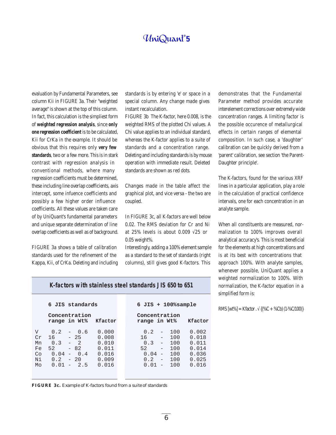evaluation by Fundamental Parameters, see column Kii in FIGURE 3a. Their "weighted average" is shown at the top of this column. In fact, this calculation is the simpliest form of **weighted regression analysis**, since **only one regression coefficient** is to be calculated, Kii for CrKa in the example. It should be obvious that this requires only **very few standards**, two or a few more. This is in stark contrast with regression analysis in conventional methods, where many regression coefficients must be determined, these including line overlap coefficients, axis intercept, some infuence coefficients and possibly a few higher order influence coefficients. All these values are taken care of by UniQuant's fundamental parameters and unique separate determination of line overlap coefficients as well as of background.

FIGURE 3a shows a table of calibration standards used for the refinement of the Kappa, Kii, of CrKa. Deleting and including standards is by entering 'e' or space in a special column. Any change made gives instant recalculation.

FIGURE 3b The K-factor, here 0.008, is the weighted RMS of the plotted Chi values. A Chi value applies to an individual standard, whereas the K-factor applies to a suite of standards and a concentration range. Deleting and including standards is by mouse operation with immediate result. Deleted standards are shown as red dots.

Changes made in the table affect the graphical plot, and vice versa - the two are coupled.

In FIGURE 3c, all K-factors are well below 0.02. The RMS deviation for Cr and Ni at 25% levels is about 0.009  $\sqrt{25}$  or 0.05 weight%.

Interestingly, adding a 100% element sample as a standard to the set of standards (right columns), still gives good K-factors. This

demonstrates that the Fundamental Parameter method provides accurate interelement corrections over extremely wide concentration ranges. A limiting factor is the possible occurence of metallurgical effects in certain ranges of elemental composition. In such case, a 'daughter' calibration can be quickly derived from a 'parent' calibration, see section 'the Parent-Daughter principle'.

The K-factors, found for the various XRF lines in a particular application, play a role in the calculation of practical confidence intervals, one for each concentration in an analyte sample.

When all constituents are measured, normalization to 100% improves overall analytical accuracy's. This is most beneficial for the elements at high concentrations and is at its best with concentrations that approach 100%. With analyte samples, whenever possible, UniQuant applies a weighted normalization to 100%. With normalization, the K-factor equation in a simplified form is:

RMS  $[wt\%] = Kfactor \cdot \sqrt{(}\%C + \%Cb)(1-\%C/100)\}$ 

| K-factors with stainless steel standards JIS 650 to 651 |  |
|---------------------------------------------------------|--|
|---------------------------------------------------------|--|

|                                       | 6 JIS standards                                                                                         |                                                             | $6$ JIS + $100\$ sample                                                                                                                                                                                                                                                    |  |  |  |  |  |
|---------------------------------------|---------------------------------------------------------------------------------------------------------|-------------------------------------------------------------|----------------------------------------------------------------------------------------------------------------------------------------------------------------------------------------------------------------------------------------------------------------------------|--|--|--|--|--|
|                                       | Concentration<br>range in Wt%                                                                           | Kfactor                                                     | Concentration<br>range in Wt%<br>Kfactor                                                                                                                                                                                                                                   |  |  |  |  |  |
| V<br>Cr<br>Mn<br>Fe<br>Co<br>Ni<br>Mo | 0.2<br>$-0.6$<br>$-25$<br>16<br>$0.3 - 2$<br>$-82$<br>52.<br>$0.04 - 0.4$<br>$0.2 - 20$<br>$0.01 - 2.5$ | 0.000<br>0.008<br>0.010<br>0.011<br>0.016<br>0.009<br>0.016 | 0.002<br>0.2<br>100<br>$-$<br>100<br>0.018<br>16<br>$\qquad \qquad -$<br>0.011<br>100<br>0.3<br>$\sim$<br>0.014<br>$\overline{\phantom{0}}$<br>100<br>52.<br>100<br>0.036<br>0.04<br>$\overline{\phantom{a}}$<br>0.025<br>0.2<br>100<br>$\sim$<br>0.016<br>$0.01 -$<br>100 |  |  |  |  |  |

*FIGURE 3c. Example of K-factors found from a suite of standards*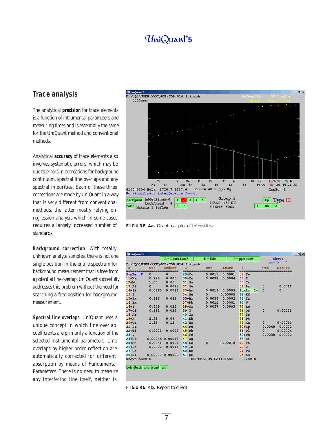#### **Trace analysis**

The analytical **precision** for trace elements is a function of intrumental parameters and measuring times and is essentially the same for the UniQuant method and conventional methods.

Analytical **accuracy** of trace elements also involves systematic errors, which may be due to errors in corrections for background continuum, spectral line overlaps and any spectral impurities. Each of these three corrections are made by UniQuant in a way that is very different from conventional methods, the latter mostly relying on regression analysis which in some cases requires a largely increased number of standards.

**Background correction**. With totally unknown analyte samples, there is not one single position in the entire spectrum for background measurement that is free from a potential line overlap. UniQuant succesfully addresses this problem without the need for searching a free position for background measurement.

**Spectral line overlaps**. UniQuant uses a unique concept in which line overlap coefficients are primarily a function of the selected instrumental parameters. Line overlaps by higher order reflection are automatically corrected for different absorption by means of Fundamental Parameters. There is no need to measure any interfering line itself, neither is



*FIGURE 4a. Graphical plot of intensities*

|                  |                                     | $L =$ Lanth LowZ |                      | $E =$ Edit           |         | $P = ppm$ show |              | Show:       |
|------------------|-------------------------------------|------------------|----------------------|----------------------|---------|----------------|--------------|-------------|
|                  | D:\UQ5\USER\XXX\JOB\JOB.014 Spinach |                  |                      |                      |         |                | $ppm$ >      | $\mathbf 0$ |
| z                | $w$ t $\frac{1}{6}$                 | StdErr           | z                    | wt%                  | StdErr  | z              | wt%          | StdErr      |
| $SumBe.$ . $F$   | $\Omega$                            | $\mathbf{0}$     | $29 + Cu$            | 0.0013               | 0.0001  | 52<br>Te       |              |             |
| $11+Na$          | 0.729                               | 0.085            | $30+Zn$              | 0.0077               | 0.0004  | 53 I           |              |             |
| $12+Mq$          | 1.00                                | 0.05             | 31 Ga                |                      |         | 55<br>Cs       |              |             |
| 13 Al            | $\mathbf{0}$                        | 0.0023           | 32 Ge                |                      |         | 56<br>Ba       | $\mathbf 0$  | 0.0011      |
| $14+Si$          | 0.0660                              | 0.0033           | $33+As$              | 0.0016               | 0.0003  | SumLaLu        | $\Omega$     | $\mathbf 0$ |
| 15P              |                                     |                  | 34 Se                | $\Omega$             | 0.00005 | 72 Hf          |              |             |
| $15+Px$          | 0.616                               | 0.031            | $35+Br$              | 0.0034               | 0.0002  | 73<br>Ta       |              |             |
| 16Sx             |                                     |                  | $37 + Rb$            | 0.0011               | 0.0001  | 74<br>W        |              |             |
| $16+S$           | 0.509                               | 0.025            | $38+Sr$              | 0.0057               | 0.0003  | 75<br>Re       |              |             |
| $17+C1$          | 0.692                               | 0.035            | 39 Y                 |                      |         | 76<br>Os       | $\mathbf{0}$ | 0.00023     |
| 18Ar             |                                     |                  | 40Zr                 |                      |         | 77<br>Ir       |              |             |
| $19+K$           | 2.58                                | 0.09             | 41<br>Nb             |                      |         | 78<br>Pt       |              |             |
| $20 + Ca$        | 1.35                                | 0.13             | 42<br>Mo             |                      |         | <b>79 Au</b>   | $\Omega$     | 0.00010     |
| $21$ Sc          |                                     |                  | 44<br>Ru             |                      |         | $80 + Hq$      | 0.0040       | 0.0002      |
| $22+$ Ti         | 0.0023                              | 0.0002           | 45<br>Rh             |                      |         | 81 Tl          | $\Omega$     | 0.00024     |
| 23V              |                                     |                  | 46<br>Pd             |                      |         | $82 + Pb$      | 0.0038       | 0.0002      |
| $24 + Cr$        | 0.00046 0.00012                     |                  | 47<br>Aq             |                      |         | 83 Bi          |              |             |
| $25+Mn$          | 0.0081                              | 0.0004           | 48<br>$_{\rm cd}$    | $\mathbf{0}$         | 0.00018 | 90<br>Th       |              |             |
| $26 + Fe$        | 0.0292                              | 0.0015           | 49<br>In             |                      |         | 92 U           |              |             |
| 27 <sub>co</sub> |                                     |                  | 50<br>S <sub>n</sub> |                      |         | 94 Pu          |              |             |
| $28+Ni$          | 0.00037                             | 0.00009          | S <sub>b</sub><br>51 |                      |         | 95 Am          |              |             |
| KnownConc= 0     |                                     |                  |                      | REST=92.39 Cellulose |         | $D/S=0$        |              |             |

*FIGURE 4b. Report to client*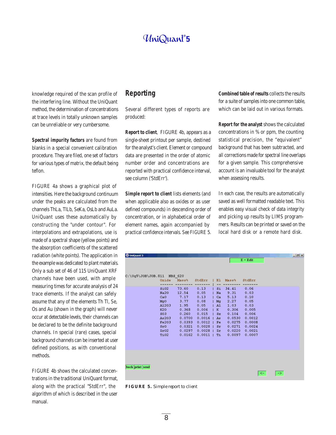knowledge required of the scan profile of the interfering line. Without the UniQuant method, the determination of concentrations at trace levels in totally unknown samples can be unreliable or very cumbersome.

**Spectral impurity factors** are found from blanks in a special convenient calibration procedure. They are filed, one set of factors for various types of matrix, the default being teflon.

FIGURE 4a shows a graphical plot of intensities. Here the background continuum under the peaks are calculated from the channels ThLa, TlLb, SeKa, OsLb and AuLa. UniQuant uses these automatically by constructing the "under contour". For interpolations and extrapolations, use is made of a spectral shape (yellow points) and the absorption coefficients of the scattered radiation (white points). The application in the example was dedicated to plant materials. Only a sub set of 46 of 115 UniQuant XRF channels have been used, with ample measuring times for accurate analysis of 24 trace elements. If the analyst can safely assume that any of the elements Th Tl, Se, Os and Au (shown in the graph) will never occur at detectable levels, their channels can be declared to be the definite background channels. In special (rare) cases, special background channels can be inserted at user defined positions, as with conventional methods.

FIGURE 4b shows the calculated concentrations in the traditional UniQuant format, along with the practical "StdErr", the algorithm of which is described in the user manual.

#### **Reporting**

Several different types of reports are produced:

**Report to client**, FIGURE 4b, appears as a single-sheet printout per sample, destined for the analyst's client. Element or compound data are presented in the order of atomic number order and concentrations are reported with practical confidence interval, see column ('StdErr').

**Simple report to client** lists elements (and when applicable also as oxides or as user defined compounds) in descending order of concentration, or in alphabetical order of element names, again accompanied by practical confidence intervals. See FIGURE 5. **Combined table of results** collects the results for a suite of samples into one common table, which can be laid out in various formats.

**Report for the analyst** shows the calculated concentrations in % or ppm, the counting statistical precision, the "equivalent" background that has been subtracted, and all corrections made for spectral line overlaps for a given sample. This comprehensive account is an invaluable tool for the analyst when assessing results.

In each case, the results are automatically saved as well formatted readable text. This enables easy visual check of data integrity and picking up results by LIMS programmers. Results can be printed or saved on the local hard disk or a remote hard disk.

|  | SiO2<br><b>Na20</b><br>CaO<br>MgO<br>A1203<br><b>K20</b><br>SO <sub>3</sub><br>As203<br><b>Fe203</b><br>SrO<br>Zr02<br>TiO <sub>2</sub> | Oxide Mass%<br>73.60<br>12.54<br>7.17<br>3.77<br>1.95<br>0.368<br>0.260<br>0.0700<br>0.0393<br>0.0321<br>0.0297<br>0.0162 | StdErr<br>0.13<br>0.05<br>0.13<br>0.08<br>0.05<br>0.006<br>0.015<br>0.0016<br>0.0012<br>п<br>0.0028<br>0.0028<br>$0.0011$ | $S_{\perp}$<br>Na<br>Ca<br>Mq<br>A1<br>K<br>$S_{\mathbf{X}}$<br>As<br>Fe<br>$S_{r}$<br>Zr<br>Ti. | El Mass <sup>g</sup><br>34.41<br>9.31<br>5.13<br>2.27<br>1.03<br>0.306<br>0.104<br>0.0530<br>0.0275<br>0.0271<br>0.0220<br>0.0097 | StdErr<br>0.06<br>0.03<br>0.10<br>0.05<br>0.03<br>0.005<br>0.006<br>0.0012<br>0.0008<br>0.0024<br>0.0021<br>0.0007 |  |  |
|--|-----------------------------------------------------------------------------------------------------------------------------------------|---------------------------------------------------------------------------------------------------------------------------|---------------------------------------------------------------------------------------------------------------------------|--------------------------------------------------------------------------------------------------|-----------------------------------------------------------------------------------------------------------------------------------|--------------------------------------------------------------------------------------------------------------------|--|--|
|--|-----------------------------------------------------------------------------------------------------------------------------------------|---------------------------------------------------------------------------------------------------------------------------|---------------------------------------------------------------------------------------------------------------------------|--------------------------------------------------------------------------------------------------|-----------------------------------------------------------------------------------------------------------------------------------|--------------------------------------------------------------------------------------------------------------------|--|--|

*FIGURE 5. Simple report to client*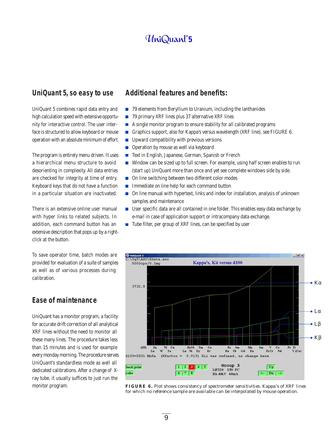#### **UniQuant 5, so easy to use**

UniQuant 5 combines rapid data entry and high calculation speed with extensive opportunity for interactive control. The user interface is structured to allow keyboard or mouse operation with an absolute minimum of effort.

The program is entirely menu driven. It uses a hierarchical menu structure to avoid desorienting in complexity. All data entries are checked for integrity at time of entry. Keyboard keys that do not have a function in a particular situation are inactivated.

There is an extensive online user manual with hyper links to related subjects. In addition, each command button has an extensive description that pops up by a rightclick at the button.

To save operator time, batch modes are provided for evaluation of a suite of samples as well as of various processes during calibration.

#### **Ease of maintenance**

UniQuant has a monitor program, a facility for accurate drift correction of all analytical XRF lines without the need to monitor all these many lines. The procedure takes less than 15 minutes and is used for example every monday morning. The procedure serves UniQuant's standardless mode as well all dedicated calibrations. After a change of Xray tube, it usually suffices to just run the monitor program.

#### **Additional features and benefits:**

- 79 elements from Beryllium to Uranium, including the lanthanides
- $\overline{\phantom{a}}$ 79 primary XRF lines plus 37 alternative XRF lines
- A single monitor program to ensure stability for all calibrated programs  $\overline{\phantom{a}}$
- $\overline{\phantom{a}}$ Graphics support, also for Kappa's versus wavelength (XRF line), see FIGURE 6.
- Upward compatibility with previous versions  $\overline{\mathbb{R}^2}$
- $\overline{\phantom{a}}$ Operation by mouse as well via keyboard
- $\overline{\mathbb{R}^2}$ Text in English, Japanese, German, Spanish or French
- Window can be sized up to full screen. For example, using half screen enables to run (start up) UniQuant more than once and yet see complete windows side by side.
- On line switching between two different color modes
- Immediate on line help for each command button  $\mathcal{C}^{\mathcal{A}}$
- On line manual with hypertext, links and index for installation, analysis of unknown samples and maintenance
- User specific data are all contained in one folder. This enables easy data exchange by e-mail in case of application support or intracompany data exchange.
- $\blacksquare$  Tube filter, per group of XRF lines, can be specified by user



*FIGURE 6. Plot shows consistency of spectrometer sensitivities. Kappa's of XRF lines for which no reference sample are available can be interpolated by mouse operation.*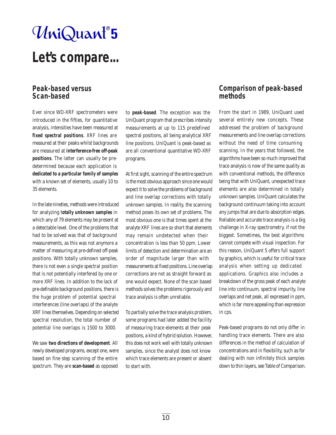# UniQuant®5

# **Let's compare...**

#### **Peak-based versus Scan-based**

Ever since WD-XRF spectrometers were introduced in the fifties, for quantitative analysis, intensities have been measured at **fixed spectral positions**. XRF lines are measured at their peaks whilst backgrounds are measured at **interference-free off-peak positions**. The latter can usually be predetermined because each application is **dedicated to a particular family of samples** with a known set of elements, usually 10 to 35 elements.

In the late nineties, methods were introduced for analyzing t**otally unknown samples** in which any of 79 elements may be present at a detectable level. One of the problems that had to be solved was that of background measurements, as this was not anymore a matter of measuring at pre-defined off-peak positions. With totally unknown samples, there is not even a single spectral position that is not potentially interfered by one or more XRF lines. In addition to the lack of pre-definable background positions, there is the huge problem of potential spectral interferences (line overlaps) of the analyte XRF lines themselves. Depending on selected spectral resolution, the total number of potential line overlaps is 1500 to 3000.

We saw **two directions of development**. All newly developed programs, except one, were based on fine step scanning of the entire spectrum. They are **scan-based** as opposed

to **peak-based**. The exception was the UniQuant program that prescribes intensity measurements at up to 115 predefined spectral positions, all being analytical XRF line positions. UniQuant is peak-based as are all conventional quantitative WD-XRF programs.

At first sight, scanning of the entire spectrum is the most obvious approach since one would expect it to solve the problems of background and line overlap corrections with totally unknown samples. In reality, the scanning method poses its own set of problems. The most obvious one is that times spent at the analyte XRF lines are so short that elements may remain undetected when their concentration is less than 50 ppm. Lower limits of detection and determination are an order of magnitude larger than with measurements at fixed positions. Line overlap corrections are not as straight forward as one would expect. None of the scan based methods solves the problems rigorously and trace analysis is often unreliable.

To partially solve the trace analysis problem, some programs had later added the facility of measuring trace elements at their peak positions, a kind of hybrid solution. However, this does not work well with totally unknown samples, since the analyst does not know which trace elements are present or absent to start with.

#### **Comparison of peak-based methods**

From the start in 1989, UniQuant used several entirely new concepts. These addressed the problem of background measurements and line overlap corrections without the need of time consuming scanning. In the years that followed, the algorithms have been so much improved that trace analysis is now of the same quality as with conventional methods, the difference being that with UniQuant, unexpected trace elements are also determined in totally unknown samples. UniQuant calculates the background continuum taking into account any jumps that are due to absorption edges. Reliable and accurate trace analysis is a big challenge in X-ray spectrometry, if not the biggest. Sometimes, the best algorithms cannot compete with visual inspection. For this reason, UniQuant 5 offers full support by graphics, which is useful for critical trace analysis when setting up dedicated applications. Graphics also includes a breakdown of the gross peak of each analyte line into continuum, spectral impurity, line overlaps and net peak, all expressed in ppm, which is far more appealing than expression in cps.

Peak-based programs do not only differ in handling trace elements. There are also differences in the method of calculation of concentrations and in flexibility, such as for dealing with non infinitely thick samples down to thin layers, see Table of Comparison.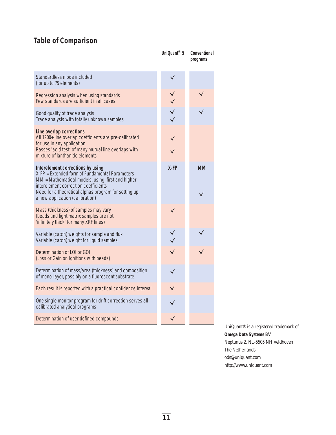# **Table of Comparison**

|                                                                                                                                                                                                                                                                            | UniQuant <sup>®</sup> 5 | Conventional<br>programs |
|----------------------------------------------------------------------------------------------------------------------------------------------------------------------------------------------------------------------------------------------------------------------------|-------------------------|--------------------------|
| Standardless mode included<br>(for up to 79 elements)                                                                                                                                                                                                                      |                         |                          |
| Regression analysis when using standards<br>Few standards are sufficient in all cases                                                                                                                                                                                      |                         |                          |
| Good quality of trace analysis<br>Trace analysis with totally unknown samples                                                                                                                                                                                              |                         |                          |
| Line overlap corrections<br>All 1200+ line overlap coefficients are pre-calibrated<br>for use in any application<br>Passes 'acid test' of many mutual line overlaps with<br>mixture of lanthanide elements                                                                 |                         |                          |
| Interelement corrections by using<br>X-FP = Extended form of Fundamental Parameters<br>MM = Mathematical models, using first and higher<br>interelement correction coefficients<br>Need for a theoretical alphas program for setting up<br>a new application (calibration) | $X$ -FP                 | <b>MM</b>                |
| Mass (thickness) of samples may vary<br>(beads and light matrix samples are not<br>'infinitely thick' for many XRF lines)                                                                                                                                                  |                         |                          |
| Variable (catch) weights for sample and flux<br>Variable (catch) weight for liquid samples                                                                                                                                                                                 |                         |                          |
| Determination of LOI or GOI<br>(Loss or Gain on Ignitions with beads)                                                                                                                                                                                                      |                         |                          |
| Determination of mass/area (thickness) and composition<br>of mono-layer, possibly on a fluorescent substrate.                                                                                                                                                              |                         |                          |
| Each result is reported with a practical confidence interval                                                                                                                                                                                                               |                         |                          |
| One single monitor program for drift correction serves all<br>calibrated analytical programs                                                                                                                                                                               |                         |                          |
| Determination of user defined compounds                                                                                                                                                                                                                                    |                         |                          |

UniQuant® is a registered trademark of **Omega Data Systems BV** Neptunus 2, NL-5505 NH Veldhoven The Netherlands ods@uniquant.com http://www.uniquant.com